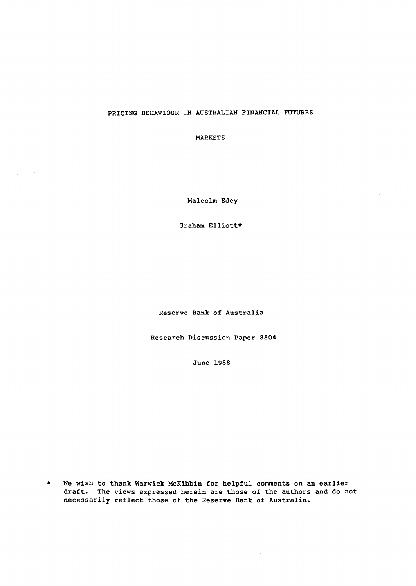## PRICING BEHAVIOUR IN AUSTRALIAN FINANCIAL FUTURES

MARKETS

Malcolm Edey

Graham Elliott\*

Reserve Bank of Australia

Research Discussion Paper 8804

June 1988

\* We wish to thank Warwick McKibbin for helpful comments on an earlier draft. The views expressed herein are those of the authors and do not necessarily reflect those of the Reserve Bank of Australia.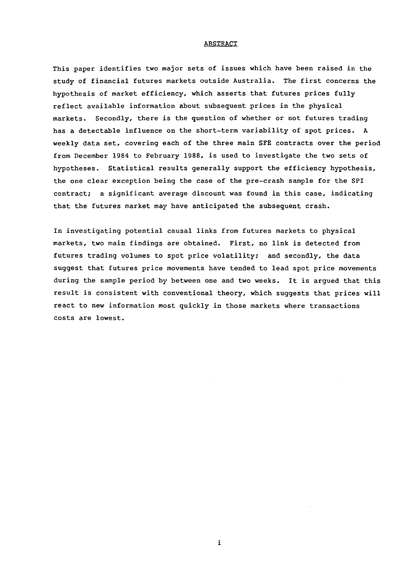#### ABSTRACT

This paper identifies two major sets of issues which have been raised *in* the study of financial futures markets outside Australia. The first concerns the hypothesis of market efficiency, which asserts that futures prices fully reflect available information about subsequent prices in the physical markets. Secondly, there is the question of whether or not futures trading has a detectable influence on the short-term variability of spot prices. A weekly data set, covering each of the three main SFE contracts over the period from December 1984 to February 1988, is used to investigate the two sets of hypotheses. Statistical results generally support the efficiency hypothesis, the one clear exception being the case of the pre-crash sample for the SPI contract; a significant average discount was found in this case, indicating that the futures market may have anticipated the subsequent crash.

In investigating potential causal links from futures markets to physical markets, two main findings are obtained. First, no link is detected from futures trading volumes to spot price volatility; and secondly, the data suggest that futures price movements have tended to lead spot price movements during the sample period by between one and two weeks. It is argued that this result is consistent with conventional theory, which suggests that prices will react to new information most quickly in those markets where transactions costs are lowest.

*i*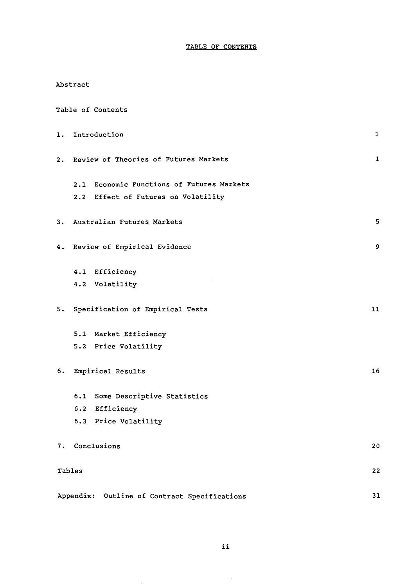## TABLE OF CONTENTS

| Abstract |  |
|----------|--|
|----------|--|

|    |        | Table of Contents                            |              |
|----|--------|----------------------------------------------|--------------|
| 1. |        | Introduction                                 | $\mathbf{1}$ |
| 2. |        | Review of Theories of Futures Markets        | $\mathbf{1}$ |
|    |        | 2.1 Economic Functions of Futures Markets    |              |
|    |        | 2.2 Effect of Futures on Volatility          |              |
| з. |        | Australian Futures Markets                   | 5            |
|    |        | 4. Review of Empirical Evidence              | 9            |
|    |        | 4.1 Efficiency                               |              |
|    |        | 4.2 Volatility                               |              |
| 5. |        | Specification of Empirical Tests             | 11           |
|    |        | 5.1 Market Efficiency                        |              |
|    |        | 5.2 Price Volatility                         |              |
| 6. |        | Empirical Results                            | 16           |
|    |        | 6.1 Some Descriptive Statistics              |              |
|    |        | 6.2 Efficiency                               |              |
|    |        | 6.3 Price Volatility                         |              |
|    |        | 7. Conclusions                               | 20           |
|    | Tables |                                              | 22           |
|    |        | Appendix: Outline of Contract Specifications | 31           |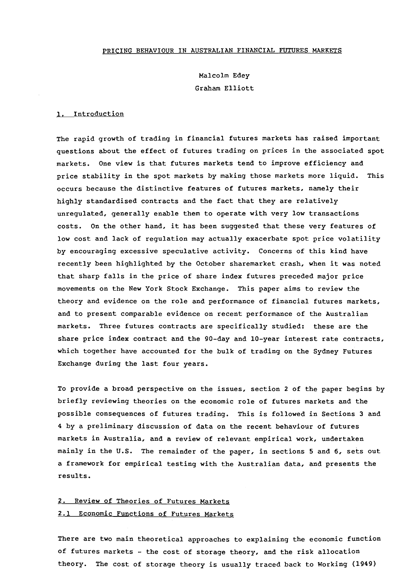#### PRICING BEHAVIOUR IN AUSTRALIAN FINANCIAL FUTURES MARKETS

Malcolm Edey Graham Elliott

#### 1. Introduction

The rapid growth of trading in financial futures markets has raised important questions about the effect of futures trading on prices in the associated spot markets. One view is that futures markets tend to improve efficiency and price stability in the spot markets by making those markets more liquid. This occurs because the distinctive features of futures markets, namely their highly standardised contracts and the fact that they are relatively unregulated, generally enable them to operate with very low transactions costs. On the other hand, it has been suggested that these very features of low cost and lack of regulation may actually exacerbate spot price volatility by encouraging excessive speculative activity. Concerns of this kind have recently been highlighted by the October sharemarket crash, when it was noted that sharp falls in the price of share index futures preceded major price movements on the New York Stock Exchange. This paper aims to review the theory and evidence on the role and performance of financial futures markets, and to present comparable evidence on recent performance of the Australian markets. Three futures contracts are specifically studied: these are the share price index contract and the 90-day and 10-year interest rate contracts, which together have accounted for the bulk of trading on the Sydney Futures Exchange during the last four years.

To provide a broad perspective on the issues, section 2 of the paper begins by briefly reviewing theories on the economic role of futures markets and the possible consequences of futures trading. This is followed in Sections 3 and 4 by a preliminary discussion of data on the recent behaviour of futures markets in Australia, and a review of relevant empirical work, undertaken mainly in the U.S. The remainder of the paper, in sections 5 and 6, sets out a framework for empirical testing with the Australian data, and presents the results.

## 2. Review of Theories of Futures Markets 2.1 Economic Functions of Futures Markets

There are two main theoretical approaches to explaining the economic function of futures markets - the cost of storage theory, and the risk allocation theory. The cost of storage theory is usually traced back to Working (1949)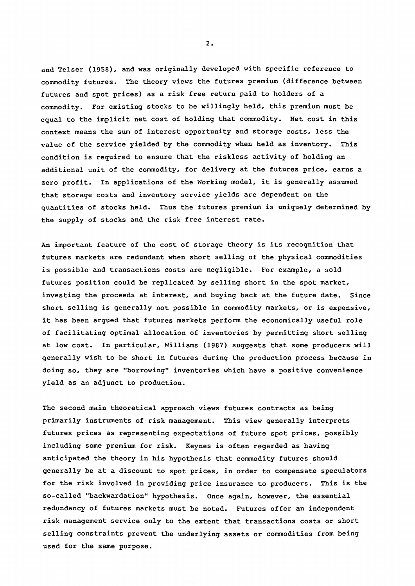and Telser (1958), and was originally developed with specific reference to commodity futures. The theory views the futures premium (difference between futures and spot prices) as a risk free return paid to holders of a commodity. For existing stocks to be willingly held, this premium must be equal to the implicit net cost of holding that commodity. Net cost in this context means the sum of interest opportunity and storage costs, less the value of the service yielded by the commodity when held as inventory. This condition is required to ensure that the riskless activity of holding an additional unit of the commodity, for delivery at the futures price, earns a zero profit. In applications of the Working model, it is generally assumed that storage costs and inventory service yields are dependent on the quantities of stocks held. Thus the futures premium is uniquely determined by the supply of stocks and the risk free interest rate.

An important feature of the cost of storage theory is its recognition that futures markets are redundant when short selling of the physical commodities is possible and transactions costs are negligible. For example, a sold futures position could be replicated by selling short in the spot market, investing the proceeds at interest, and buying back at the future date. Since short selling is generally not possible in commodity markets, or is expensive, it has been argued that futures markets perform the economically useful role of facilitating optimal allocation of inventories by permitting short selling at low cost. In particular, Williams (1987) suggests that some producers will generally wish to be short in futures during the production process because in doing so, they are "borrowing" inventories which have a positive convenience yield as an adjunct to production.

The second main theoretical approach views futures contracts as being primarily instruments of risk management. This view generally interprets futures prices as representing expectations of future spot prices, possibly including some premium for risk. Keynes is often regarded as having anticipated the theory in his hypothesis that commodity futures should generally be at a discount to spot prices, in order to compensate speculators for the risk involved in providing price insurance to producers. This is the so-called "backwardation" hypothesis. Once again, however, the essential redundancy of futures markets must be noted. Futures offer an independent risk management service only to the extent that transactions costs or short selling constraints prevent the underlying assets or commodities from being used for the same purpose.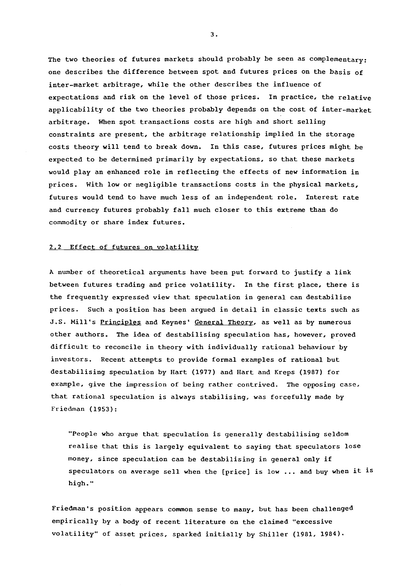The two theories of futures markets should probably be seen as complementary: one describes the difference between spot and futures prices on the basis of inter-market arbitrage, while the other describes the influence of expectations and risk on the level of those prices. In practice, the relative applicability of the two theories probably depends on the cost of inter-market arbitrage. When spot transactions costs are high and short selling constraints are present, the arbitrage relationship implied in the storage costs theory will tend to break down. In this case, futures prices might be expected to be determined primarily by expectations, so that these markets would play an enhanced role in reflecting the effects of new information in prices. With low or negligible transactions costs in the physical markets, futures would tend to have much less of an independent role. Interest rate and currency futures probably fall much closer to this extreme than do commodity or share index futures.

#### 2,2 Effect of futures on volatility

A number of theoretical arguments have been put forward to justify a link between futures trading and price volatility. In the first place, there is the frequently expressed view that speculation in general can destabilise prices. Such a position has been argued in detail in classic texts such as J.S. Mill's Principles and Keynes' General Theory, as well as by numerous other authors. The idea of destabilising speculation has, however, proved difficult to reconcile in theory with individually rational behaviour by investors. Recent attempts to provide formal examples of rational but destabilising speculation by Hart (1977) and Hart and Kreps (1987) for example, give the impression of being rather contrived. The opposing case, that rational speculation is always stabilising, was forcefully made by Friedman (1953):

"People who argue that speculation is generally destabilising seldom realise that this is largely equivalent to saying that speculators lose money, since speculation can be destabilising in general only if speculators on average sell when the [price] is low ... and buy when it is high."

Friedman's position appears common sense to many, but has been challenged empirically by a body of recent literature on the claimed "excessive volatility" of asset prices, sparked initially by Shiller (1981, 1984).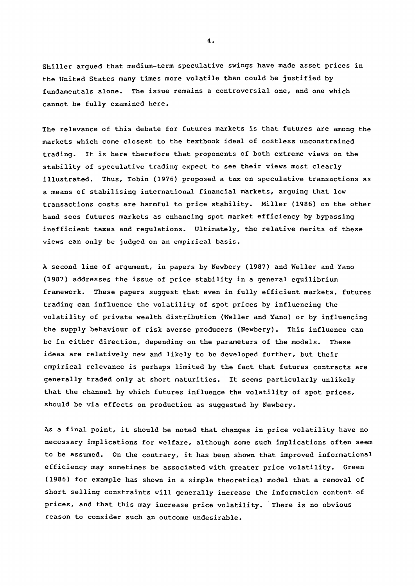Shiller argued that medium-term speculative swings have made asset prices in the United States many times more volatile than could be justified by fundamentals alone. The issue remains a controversial one, and one which cannot be fully examined here.

The relevance of this debate for futures markets is that futures are among the markets which come closest to the textbook ideal of costless unconstrained trading. It is here therefore that proponents of both extreme views on the stability of speculative trading expect to see their views most clearly illustrated. Thus, Tobin (1976) proposed a tax on speculative transactions as a means of stabilising international financial markets, arguing that low transactions costs are harmful to price stability. Miller (1986) on the other hand sees futures markets as enhancing spot market efficiency by bypassing inefficient taxes and regulations. Ultimately, the relative merits of these views can only be judged on an empirical basis.

A second line of argument, in papers by Newbery (1987) and Weller and Yano (1987) addresses the issue of price stability in a general equilibrium framework. These papers suggest that even in fully efficient markets, futures trading can influence the volatility of spot prices by influencing the volatility of private wealth distribution (Weller and Yano) or by influencing the supply behaviour of risk averse producers (Newbery). This influence can be in either direction, depending on the parameters of the models. These ideas are relatively new and likely to be developed further, but their empirical relevance is perhaps limited by the fact that futures contracts are generally traded only at short maturities. It seems particularly unlikely that the channel by which futures influence the volatility of spot prices, should be via effects on production as suggested by Newbery.

As a final point, it should be noted that changes in price volatility have no necessary implications for welfare, although some such implications often seem to be assumed. On the contrary, it has been shown that improved informational efficiency may sometimes be associated with greater price volatility. Green (1986) for example has shown in a simple theoretical model that a removal of short selling constraints will generally increase the information content of prices, and that this may increase price volatility. There is no obvious reason to consider such an outcome undesirable.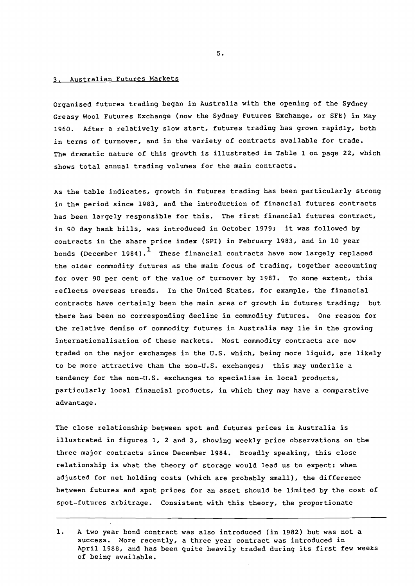## 3. Australian Futures Markets

Organised futures trading began in Australia with the opening of the Sydney Greasy Wool Futures Exchange (now the Sydney Futures Exchange, or SFE) in May 1960. After a relatively slow start, futures trading has grown rapidly, both in terms of turnover, and in the variety of contracts available for trade. The dramatic nature of this growth is illustrated in Table 1 on page 22, which shows total annual trading volumes for the main contracts.

As the table indicates, growth in futures trading has been particularly strong in the period since 1983, and the introduction of financial futures contracts has been largely responsible for this. The first financial futures contract, in 90 day bank bills, was introduced in October 1979; it was followed by contracts in the share price index (SPI) in February 1983, and in 10 year bonds (December 1984).<sup>1</sup> These financial contracts have now largely replaced the older commodity futures as the main focus of trading, together accounting for over 90 per cent of the value of turnover by 1987. To some extent, this reflects overseas trends. In the United States, for example, the financial contracts have certainly been the main area of growth in futures trading; but there has been no corresponding decline in commodity futures. One reason for the relative demise of commodity futures in Australia may lie in the growing internationalisation of these markets. Most commodity contracts are now traded on the major exchanges in the U.S. which, being more liquid, are likely to be more attractive than the non-U.S. exchanges; this may underlie a tendency for the non-U.S. exchanges to specialise in local products, particularly local financial products, in which they may have a comparative advantage.

The close relationship between spot and futures prices in Australia is illustrated in figures 1, 2 and 3, showing weekly price observations on the three major contracts since December 1984. Broadly speaking, this close relationship is what the theory of storage would lead us to expect: when adjusted for net holding costs (which are probably small), the difference between futures and spot prices for an asset should be limited by the cost of spot-futures arbitrage. Consistent with this theory, the proportionate

<sup>1.</sup> A two year bond contract was also introduced (in 1982) but was not a success. More recently, a three year contract was introduced in April 1988, and has been quite heavily traded during its first few weeks of being available.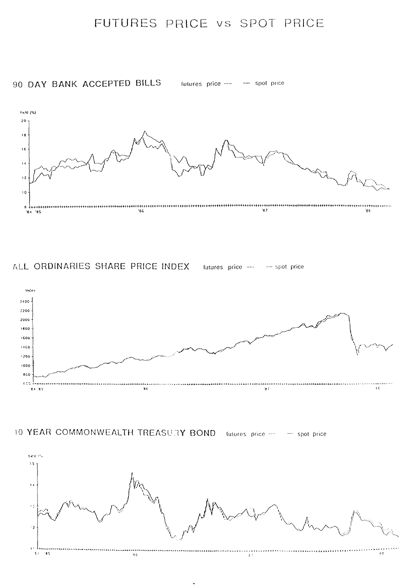## FUTURES PRICE VS SPOT PRICE

90 DAY BANK ACCEPTED BILLS futures price ····· - spot price



ALL ORDINARIES SHARE PRICE INDEX futures price ---- - spot price







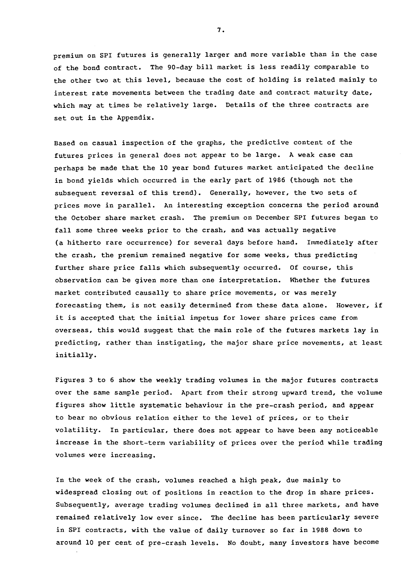premium on SPI futures is generally larger and more variable than in the case of the bond contract. The 90-day bill market is less readily comparable to the other two at this level, because the cost of holding is related mainly to interest rate movements between the trading date and contract maturity date, which may at times be relatively large. Details of the three contracts are set out in the Appendix.

Based on casual inspection of the graphs, the predictive content of the futures prices in general does not appear to be large. A weak case can perhaps be made that the 10 year bond futures market anticipated the decline in bond yields which occurred in the early part of 1986 (though not the subsequent reversal of this trend). Generally, however, the two sets of prices move in parallel. An interesting exception concerns the period around the October share market crash. The premium on December SPI futures began to fall some three weeks prior to the crash, and was actually negative (a hitherto rare occurrence) for several days before hand. Immediately after the crash, the premium remained negative for some weeks, thus predicting further share price falls which subsequently occurred. Of course, this observation can be given more than one interpretation. Whether the futures market contributed causally to share price movements, or was merely forecasting them, is not easily determined from these data alone. However, if it is accepted that the initial impetus for lower share prices came from overseas, this would suggest that the main role of the futures markets lay in predicting, rather than instigating, the major share price movements, at least initially.

Figures 3 to 6 show the weekly trading volumes in the major futures contracts over the same sample period. Apart from their strong upward trend, the volume figures show little systematic behaviour in the pre-crash period, and appear to bear no obvious relation either to the level of prices, or to their volatility. In particular, there does not appear to have been any noticeable increase in the short-term variability of prices over the period while trading volumes were increasing.

In the week of the crash, volumes reached a high peak, due mainly to widespread closing out of positions in reaction to the drop in share prices. Subsequently, average trading volumes declined in all three markets, and have remained relatively low ever since. The decline has been particularly severe in SPI contracts, with the value of daily turnover so far in 1988 down to around 10 per cent of pre-crash levels. No doubt, many investors have become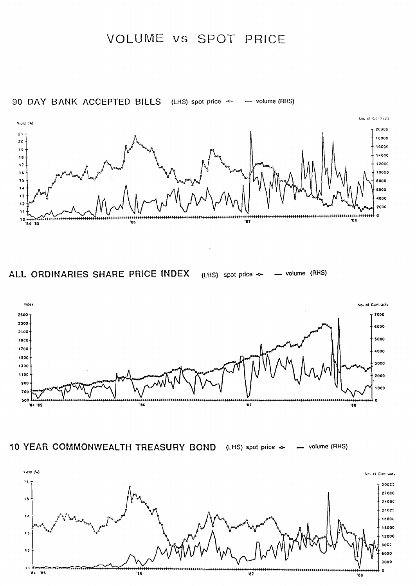# VOLUME vs SPOT PRICE



ALL ORDINARIES SHARE PRICE INDEX (LHS) spot price -o- - volume (RHS)



10 YEAR COMMONWEALTH TREASURY BOND (LHS) spot price  $\sim$  - volume (RHS)

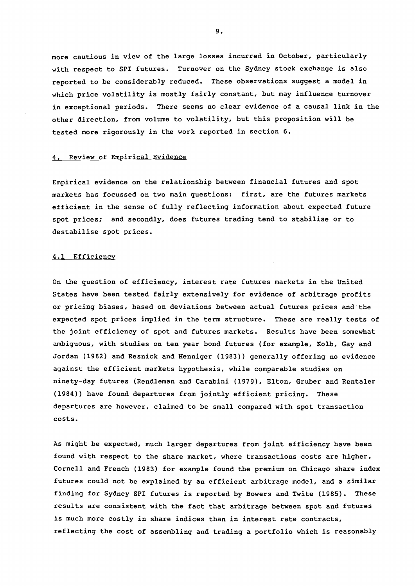more cautious in view of the large losses incurred in October, particularly with respect to SPI futures. Turnover on the Sydney stock exchange *is* also reported to be considerably reduced. These observations suggest a model in which price volatility *is* mostly fairly constant, but may influence turnover in exceptional periods. There seems no clear evidence of a causal link in the other direction, from volume to volatility, but this proposition will be tested more rigorously in the work reported in section 6.

#### 4. Review of Empirical Evidence

Empirical evidence on the relationship between financial futures and spot markets has focussed on two main questions: first, are the futures markets efficient in the sense of fully reflecting information about expected future spot prices; and secondly, does futures trading tend to stabilise or to destabilise spot prices.

#### 4.1 Efficiency

On the question of efficiency, interest rate futures markets in the United States have been tested fairly extensively for evidence of arbitrage profits or pricing biases, based on deviations between actual futures prices and the expected spot prices implied in the term structure. These are really tests of the joint efficiency of spot and futures markets. Results have been somewhat ambiguous, with studies on ten year bond futures (for example, Kolb, Gay and Jordan (1982) and Resnick and Henniger (1983)) generally offering no evidence against the efficient markets hypothesis, while comparable studies on ninety-day futures (Rendleman and Carabini (1979), Elton, Gruber and Rentaler (1984)) have found departures from jointly efficient pricing. These departures are however, claimed to be small compared with spot transaction costs.

As might be expected, much larger departures from joint efficiency have been found with respect to the share market, where transactions costs are higher. Cornell and French (1983) for example found the premium on Chicago share index futures could not be explained by an efficient arbitrage model, and a similar finding for Sydney SPI futures *is* reported by Bowers and Twite (1985). These results are consistent with the fact that arbitrage between spot and futures *is* much more costly in share indices than in interest rate contracts, reflecting the cost of assembling and trading a portfolio which *is* reasonably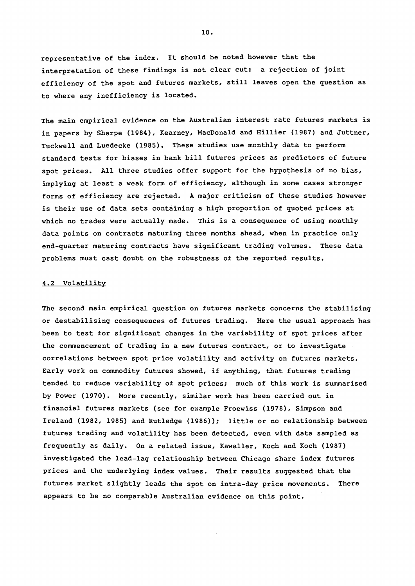representative of the index. It should be noted however that the interpretation of these findings is not clear cut: a rejection of joint efficiency of the spot and futures markets, still leaves open the question as to where any inefficiency is located.

The main empirical evidence on the Australian interest rate futures markets is in papers by Sharpe (1984), Kearney, MacDonald and Hillier (1987) and Juttner, Tuckwell and Luedecke (1985). These studies use monthly data to perform standard tests for biases in bank bill futures prices as predictors of future spot prices. All three studies offer support for the hypothesis of no bias, implying at least a weak form of efficiency, although in some cases stronger forms of efficiency are rejected. A major criticism of these studies however is their use of data sets containing a high proportion of quoted prices at which no trades were actually made. This is a consequence of using monthly data points on contracts maturing three months ahead, when in practice only end-quarter maturing contracts have significant trading volumes. These data problems must cast doubt on the robustness of the reported results.

#### 4.2 Volatility

The second main empirical question on futures markets concerns the stabilising or destabilising consequences of futures trading. Here the usual approach has been to test for significant changes in the variability of spot prices after the commencement of trading in a new futures contract, or to investigate correlations between spot price volatility and activity on futures markets. Early work on commodity futures showed, if anything, that futures trading tended to reduce variability of spot prices; much of this work is summarised by Power (1970). More recently, similar work has been carried out in financial futures markets (see for example Froewiss (1978), Simpson and Ireland (1982, 1985) and Rutledge (1986)); little or no relationship between futures trading and volatility has been detected, even with data sampled as frequently as daily. On a related issue, Kawaller, Koch and Koch (1987) investigated the lead-lag relationship between Chicago share index futures prices and the underlying index values. Their results suggested that the futures market slightly leads the spot on intra-day price movements. There appears to be no comparable Australian evidence on this point.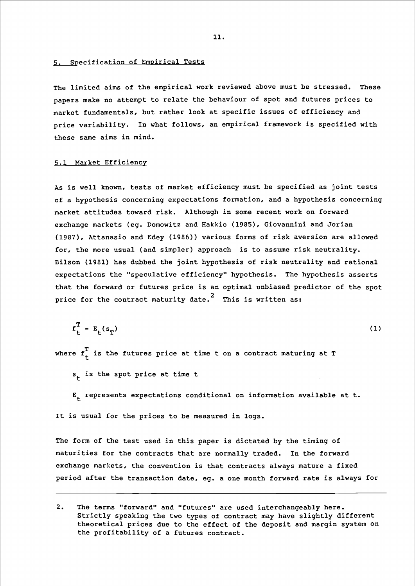#### 5. Specification of Empirical Tests

The limited aims of the empirical work reviewed above must be stressed. These papers make no attempt to relate the behaviour of spot and futures prices to market fundamentals, but rather look at specific issues of efficiency and price variability. In what follows, an empirical framework is specified with these same aims in mind.

#### 5.1 Market Efficiency

As is well known, tests of market efficiency must be specified as joint tests of a hypothesis concerning expectations formation, and a hypothesis concerning market attitudes toward risk. Although in some recent work on forward exchange markets (eg. Domowitz and Hakkio (1985), Giovannini and Jorian (1987), Attanasio and Edey (1986)) various forms of risk aversion are allowed for, the more usual (and simpler) approach is to assume risk neutrality. Bilson (1981) has dubbed the joint hypothesis of risk neutrality and rational expectations the "speculative efficiency" hypothesis. The hypothesis asserts that the forward or futures price is an optimal unbiased predictor of the spot price for the contract maturity date.<sup>2</sup> This is written as:

 $f_{+}^{T} = E_{+}(s_{T})$ (1)

where  $\boldsymbol{\mathrm{f}}_t^\mathrm{T}$  is the futures price at time t on a contract maturing at T

 $s_t$  is the spot price at time t

 $E_t$  represents expectations conditional on information available at t. It is usual for the prices to be measured in logs.

The form of the test used in this paper is dictated by the timing of maturities for the contracts that are normally traded. In the forward exchange markets, the convention is that contracts always mature a fixed period after the transaction date, eg. a one month forward rate is always for

<sup>2.</sup> The terms "forward" and "futures" are used interchangeably here. Strictly speaking the two types of contract may have slightly different theoretical prices due to the effect of the deposit and margin system on the profitability of a futures contract.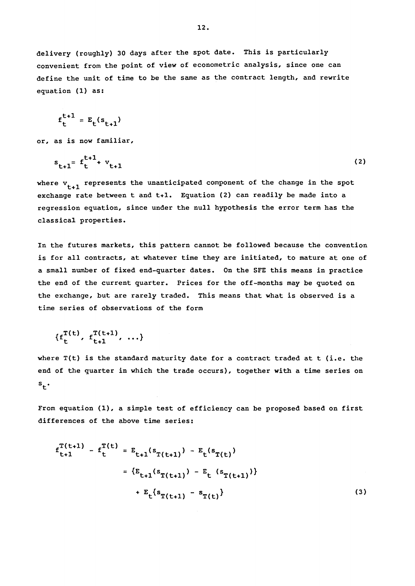delivery (roughly) 30 days after the spot date. This is particularly convenient from the point of view of econometric analysis, since one can define the unit of time to be the same as the contract length, and rewrite equation (1) as:

$$
f_t^{t+1} = E_t(s_{t+1})
$$

or, as is now familiar,

$$
s_{t+1} = f_t^{t+1} + v_{t+1} \tag{2}
$$

where  $v_{t+1}$  represents the unanticipated component of the change in the spot exchange rate between t and t+l. Equation (2) can readily be made into a regression equation, since under the null hypothesis the error term has the classical properties.

In the futures markets, this pattern cannot be followed because the convention is for all contracts, at whatever time they are initiated, to mature at one of a small number of fixed end-quarter dates. On the SFE this means in practice the end of the current quarter. Prices for the off-months may be quoted on the exchange, but are rarely traded. This means that what is observed is a time series of observations of the form

$$
\{f_t^{T(t)}, f_{t+1}^{T(t+1)}, \ldots\}
$$

where T(t) is the standard maturity date for a contract traded at t (i.e. the end of the quarter in which the trade occurs), together with a time series on  $s_{\mu}$ .

From equation (1), a simple test of efficiency can be proposed based on first differences of the above time series:

$$
f_{t+1}^{T(t+1)} - f_{t}^{T(t)} = E_{t+1}(s_{T(t+1)}) - E_{t}(s_{T(t)})
$$
  

$$
= \{E_{t+1}(s_{T(t+1)}) - E_{t}(s_{T(t+1)})\}
$$
  

$$
+ E_{t}(s_{T(t+1)} - s_{T(t)})
$$
 (3)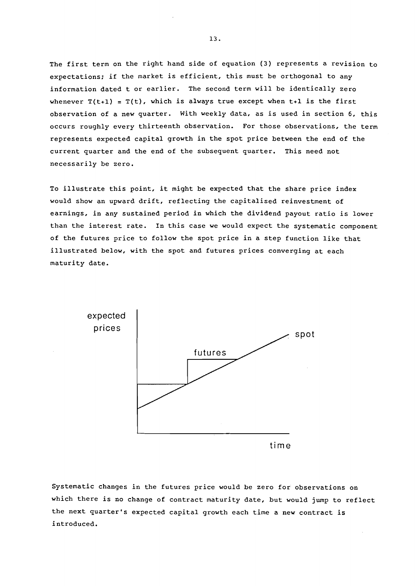The first term on the right hand side of equation (3) represents a revision to expectations; if the market is efficient, this must be orthogonal to any information dated t or earlier. The second term will be identically zero whenever  $T(t+1) = T(t)$ , which is always true except when  $t+1$  is the first observation of a new quarter. With weekly data, as is used in section 6, this occurs roughly every thirteenth observation. For those observations, the term represents expected capital growth in the spot price between the end of the current quarter and the end of the subsequent quarter. This need not necessarily be zero.

To illustrate this point, it might be expected that the share price index would show an upward drift, reflecting the capitalised reinvestment of earnings, in any sustained period in which the dividend payout ratio is lower than the interest rate. In this case we would expect the systematic component of the futures price to follow the spot price in a step function like that illustrated below, with the spot and futures prices converging at each maturity date.



Systematic changes in the futures price would be zero for observations on which there is no change of contract maturity date, but would jump to reflect the next quarter's expected capital growth each time a new contract is introduced.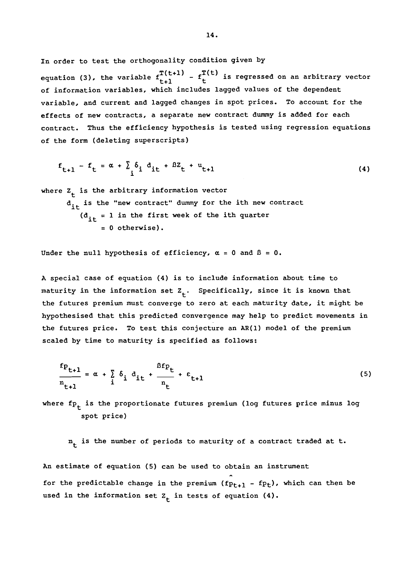In order to test the orthogonality condition given by

equation (3), the variable  $f_{t+1}^{T(t+1)} - f_t^{T(t)}$  is regressed on an arbitrary vector of information variables, which includes lagged values of the dependent variable, and current and lagged changes in spot prices. To account for the effects of new contracts, a separate new contract dummy is added for each contract. Thus the efficiency hypothesis is tested using regression equations of the form (deleting superscripts)

$$
f_{t+1} - f_t = \alpha + \sum_{i} \delta_i d_{it} + \beta Z_t + u_{t+1}
$$
 (4)

where  $Z_{+}$  is the arbitrary information vector  $d_{it}$  is the "new contract" dummy for the ith new contract  $(d_{it} = 1$  in the first week of the ith quarter  $= 0$  otherwise).

Under the null hypothesis of efficiency,  $\alpha = 0$  and  $\beta = 0$ .

<sup>A</sup>special case of equation (4) is to include information about time to maturity in the information set  $Z_t$ . Specifically, since it is known that the futures premium must converge to zero at each maturity date, it might be hypothesised that this predicted convergence may help to predict movements in the futures price. To test this conjecture an AR(l) model of the premium scaled by time to maturity is specified as follows:

$$
\frac{f_{P_{t+1}}}{n_{t+1}} = \alpha + \sum_{i} \delta_i d_{it} + \frac{\beta f_{P_{t}}}{n_{t}} + \epsilon_{t+1}
$$
\n(5)

where  $\text{fp}_{\text{t}}$  is the proportionate futures premium (log futures price minus log spot price)

 $n_t$  is the number of periods to maturity of a contract traded at t.

An estimate of equation (5) can be used to obtain an instrument for the predictable change in the premium  $(fp_{t+1} - fp_t)$ , which can then be used in the information set  $Z_{+}$  in tests of equation (4).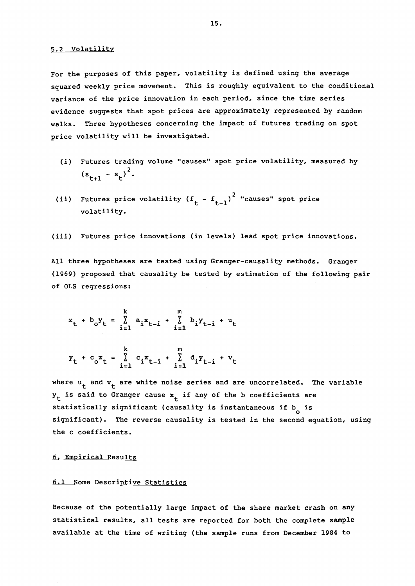For the purposes of this paper, volatility is defined using the average squared weekly price movement. This is roughly equivalent to the conditional variance of the price innovation in each period, since the time series evidence suggests that spot prices are approximately represented by random walks. Three hypotheses concerning the impact of futures trading on spot price volatility will be investigated.

- (i) Futures trading volume "causes" spot price volatility, measured by  $(s_{t+1} - s_t)^2$ .
- (ii) Futures price volatility ( $f_t$   $f_{t-1}$ )<sup>2</sup> "causes" spot price volatility.
- (iii) Futures price innovations (in levels) lead spot price innovations.

All three hypotheses are tested using Granger-causality methods. Granger (1969) proposed that causality be tested by estimation of the following pair of OLS regressions:

$$
x_t + b_0Y_t = \sum_{i=1}^k a_i x_{t-i} + \sum_{i=1}^m b_i Y_{t-i} + u_t
$$

$$
y_{t} + c_{0}x_{t} = \sum_{i=1}^{k} c_{i}x_{t-i} + \sum_{i=1}^{m} d_{i}y_{t-i} + v_{t}
$$

where  $u_t$  and  $v_t$  are white noise series and are uncorrelated. The variable  $y_t$  is said to Granger cause  $x_t$  if any of the b coefficients are statistically significant (causality is instantaneous if  $b_{0}$  is significant). The reverse causality is tested in the second equation, using the c coefficients.

#### 6, Empirical Results

#### 6.1 Some Descriptive Statistics

Because of the potentially large impact of the share market crash on any statistical results, all tests are reported for both the complete sample available at the time of writing (the sample runs from December 1984 to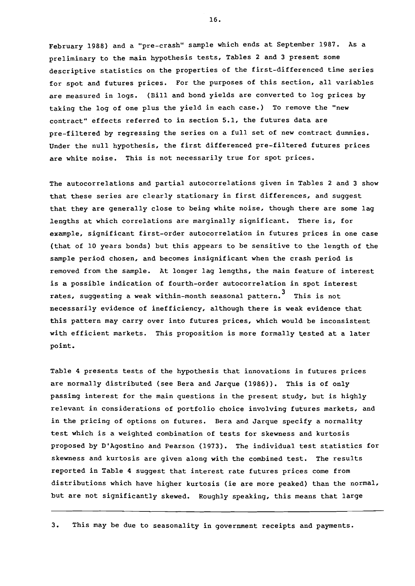February 1988) and a "pre-crash" sample which ends at September 1987. As a preliminary to the main hypothesis tests, Tables 2 and 3 present some descriptive statistics on the properties of the first-differenced time series for spot and futures prices. For the purposes of this section, all variables are measured in logs. (Bill and bond yields are converted to log prices by taking the log of one plus the yield in each case.) To remove the "new contract" effects referred to in section 5.1, the futures data are pre-filtered by regressing the series on a full set of new contract dummies. Under the null hypothesis, the first differenced pre-filtered futures prices are white noise. This is not necessarily true for spot prices.

The autocorrelations and partial autocorrelations given in Tables 2 and 3 show that these series are clearly stationary in first differences, and suggest that they are generally close to being white noise, though there are some lag lengths at which correlations are marginally significant. There is, for example, significant first-order autocorrelation in futures prices in one case (that of 10 years bonds) but this appears to be sensitive to the length of the sample period chosen, and becomes insignificant when the crash period is removed from the sample. At longer lag lengths, the main feature of interest is a possible indication of fourth-order autocorrelation in spot interest rates, suggesting a weak within-month seasonal pattern.<sup>3</sup> This is not necessarily evidence of inefficiency, although there is weak evidence that this pattern may carry over into futures prices, which would be inconsistent with efficient markets. This proposition is more formally tested at a later point.

Table 4 presents tests of the hypothesis that innovations in futures prices are normally distributed (see Bera and Jarque (1986)). This is of only passing interest for the main questions in the present study, but is highly relevant in considerations of portfolio choice involving futures markets, and in the pricing of options on futures. Bera and Jarque specify a normality test which is a weighted combination of tests for skewness and kurtosis proposed by D'Agostino and Pearson (1973). The individual test statistics for skewness and kurtosis are given along with the combined test. The results reported in Table 4 suggest that interest rate futures prices come from distributions which have higher kurtosis (ie are more peaked) than the normal, but are not significantly skewed. Roughly speaking, this means that large

3. This may be due to seasonality in government receipts and payments.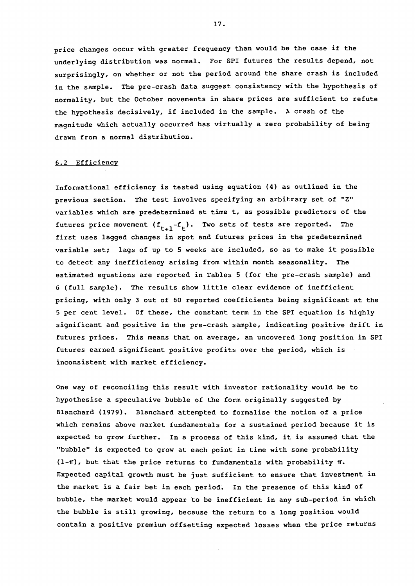price changes occur with greater frequency than would be the case if the underlying distribution was normal. For SPI futures the results depend, not surprisingly, on whether or not the period around the share crash is included in the sample. The pre-crash data suggest consistency with the hypothesis of normality, but the October movements in share prices are sufficient to refute the hypothesis decisively, if included in the sample. A crash of the magnitude which actually occurred has virtually a zero probability of being drawn from a normal distribution.

#### 6. 2 Efficiency

Informational efficiency is tested using equation (4) as outlined in the previous section. The test involves specifying an arbitrary set of "Z" variables which are predetermined at time t, as possible predictors of the futures price movement  $(f_{t+1}-f_t)$ . Two sets of tests are reported. The first uses lagged changes in spot and futures prices in the predetermined variable set; lags of up to 5 weeks are included, so as to make it possible to detect any inefficiency arising from within month seasonality. The estimated equations are reported in Tables 5 (for the pre-crash sample) and 6 (full sample). The results show little clear evidence of inefficient pricing, with only 3 out of 60 reported coefficients being significant at the 5 per cent level. Of these, the constant term in the SPI equation is highly significant and positive in the pre-crash sample, indicating positive drift in futures prices. This means that on average, an uncovered long position in SPI futures earned significant positive profits over the period, which is inconsistent with market efficiency.

One way of reconciling this result with investor rationality would be to hypothesise a speculative bubble of the form originally suggested by Blanchard (1979). Blanchard attempted to formalise the notion of a price which remains above market fundamentals for a sustained period because it is expected to grow further. In a process of this kind, it is assumed that the "bubble" is expected to grow at each point in time with some probability  $(1-\pi)$ , but that the price returns to fundamentals with probability  $\pi$ . Expected capital growth must be just sufficient to ensure that investment in the market is a fair bet in each period. In the presence of this kind of bubble, the market would appear to be inefficient in any sub-period in which the bubble is still growing, because the return to a long position would contain a positive premium offsetting expected losses when the price returns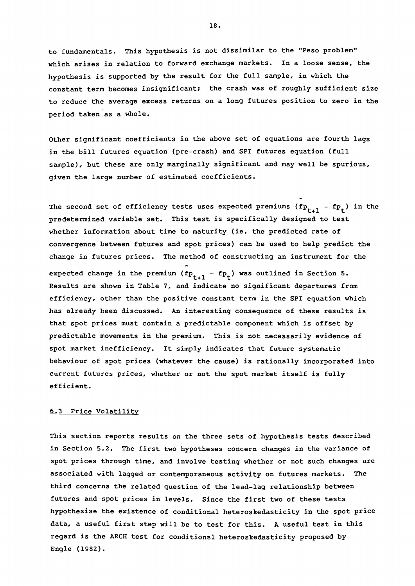to fundamentals. This hypothesis is not dissimilar to the "Peso problem" which arises in relation to forward exchange markets. In a loose sense, the hypothesis is supported by the result for the full sample, in which the constant term becomes insignificant; the crash was of roughly sufficient size to reduce the average excess returns on a long futures position to zero in the period taken as a whole.

Other significant coefficients in the above set of equations are fourth lags in the bill futures equation (pre-crash) and SPI futures equation (full sample), but these are only marginally significant and may well be spurious, given the large number of estimated coefficients.

The second set of efficiency tests uses expected premiums  $(fp_{t+1} - fp_t)$  in the predetermined variable set. This test is specifically designed to test whether information about time to maturity (ie. the predicted rate of convergence between futures and spot prices) can be used to help predict the change in futures prices. The method of constructing an instrument for the expected change in the premium ( $fp_{t+1} - fp_t$ ) was outlined in Section 5. Results are shown in Table 7, and indicate no significant departures from efficiency, other than the positive constant term in the SPI equation which has already been discussed. An interesting consequence of these results is that spot prices must contain a predictable component which is offset by predictable movements in the premium. This is not necessarily evidence of spot market inefficiency. It simply indicates that future systematic behaviour of spot prices (whatever the cause) is rationally incorporated into current futures prices, whether or not the spot market itself is fully efficient.

#### 6.3 Price Volatility

This section reports results on the three sets of hypothesis tests described in Section 5.2. The first two hypotheses concern changes in the variance of spot prices through time, and involve testing whether or not such changes are associated with lagged or contemporaneous activity on futures markets. The third concerns the related question of the lead-lag relationship between futures and spot prices in levels. Since the first two of these tests hypothesise the existence of conditional heteroskedasticity in the spot price data, a useful first step will be to test for this. A useful test in this regard is the ARCH test for conditional heteroskedasticity proposed by Engle (1982).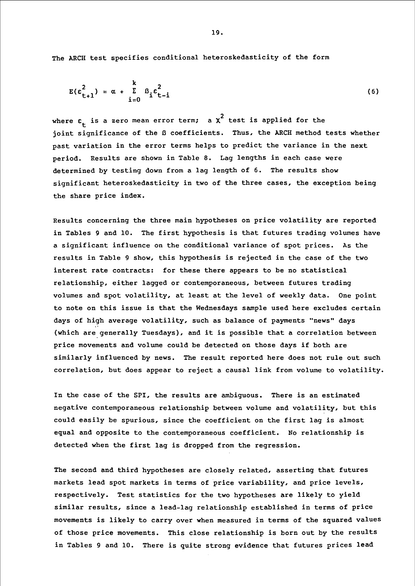The ARCH test specifies conditional heteroskedasticity of the form

$$
E(\epsilon_{t+1}^2) = \alpha + \sum_{i=0}^k \beta_i \epsilon_{t-i}^2
$$
 (6)

where  $\varepsilon_{\text{L}}$  is a zero mean error term; a  $\chi^2$  test is applied for the joint significance of the ß coefficients. Thus, the ARCH method tests whether past variation in the error terms helps to predict the variance in the next period. Results are shown in Table 8. Lag lengths in each case were determined by testing down from a lag length of 6. The results show significant heteroskedasticity in two of the three cases, the exception being the share price index.

Results concerning the three main hypotheses on price volatility are reported in Tables 9 and 10. The first hypothesis is that futures trading volumes have a significant influence on the conditional variance of spot prices. As the results in Table 9 show, this hypothesis is rejected in the case of the two interest rate contracts: for these there appears to be no statistical relationship, either lagged or contemporaneous, between futures trading volumes and spot volatility, at least at the level of weekly data. One point to note on this issue is that the Wednesdays sample used here excludes certain days of high average volatility, such as balance of payments "news" days (which are generally Tuesdays), and it is possible that a correlation between price movements and volume could be detected on those days if both are similarly influenced by news. The result reported here does not rule out such correlation, but does appear to reject a causal link from volume to volatility.

In the case of the SPI, the results are ambiguous. There is an estimated negative contemporaneous relationship between volume and volatility, but this could easily be spurious, since the coefficient on the first lag is almost equal and opposite to the contemporaneous coefficient. No relationship is detected when the first lag is dropped from the regression.

The second and third hypotheses are closely related, asserting that futures markets lead spot markets in terms of price variability, and price levels, respectively. Test statistics for the two hypotheses are likely to yield similar results, since a lead-lag relationship established in terms of price movements is likely to carry over when measured in terms of the squared values of those price movements. This close relationship is born out by the results in Tables 9 and 10. There is quite strong evidence that futures prices lead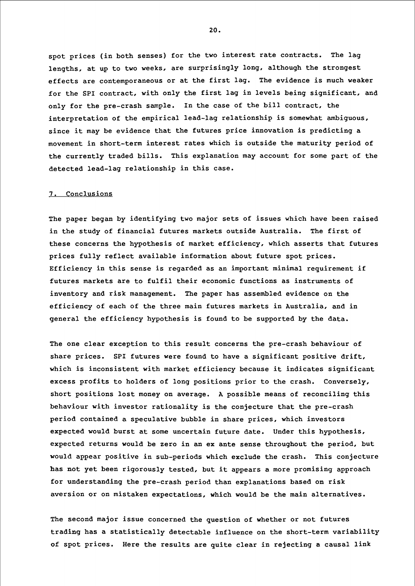spot prices (in both senses) for the two interest rate contracts. The lag lengths, at up to two weeks, are surprisingly long, although the strongest effects are contemporaneous or at the first lag. The evidence is much weaker for the SPI contract, with only the first lag in levels being significant, and only for the pre-crash sample. In the case of the bill contract, the interpretation of the empirical lead-lag relationship is somewhat ambiguous, since it may be evidence that the futures price innovation is predicting a movement in short-term interest rates which is outside the maturity period of the currently traded bills. This explanation may account for some part of the detected lead-lag relationship in this case.

#### 7. Conclusions

The paper began by identifying two major sets of issues which have been raised in the study of financial futures markets outside Australia. The first of these concerns the hypothesis of market efficiency, which asserts that futures prices fully reflect available information about future spot prices. Efficiency in this sense is regarded as an important minimal requirement if futures markets are to fulfil their economic functions as instruments of inventory and risk management. The paper has assembled evidence on the efficiency of each of the three main futures markets in Australia, and in general the efficiency hypothesis is found to be supported by the data.

The one clear exception to this result concerns the pre-crash behaviour of share prices. SPI futures were found to have a significant positive drift, which is inconsistent with market efficiency because it indicates significant excess profits to holders of long positions prior to the crash. Conversely, short positions lost money on average. A possible means of reconciling this behaviour with investor rationality is the conjecture that the pre-crash period contained a speculative bubble in share prices, which investors expected would burst at some uncertain future date. Under this hypothesis, expected returns would be zero in an ex ante sense throughout the period, but would appear positive in sub-periods which exclude the crash. This conjecture has not yet been rigorously tested, but it appears a more promising approach for understanding the pre-crash period than explanations based on risk aversion or on mistaken expectations, which would be the main alternatives.

The second major issue concerned the question of whether or not futures trading has a statistically detectable influence on the short-term variability of spot prices. Here the results are quite clear in rejecting a causal link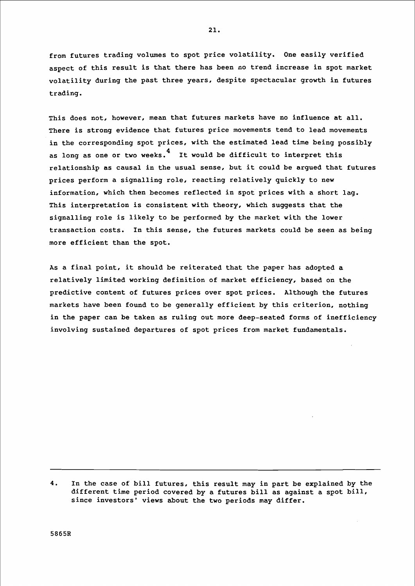from futures trading volumes to spot price volatility. One easily verified aspect of this result is that there has been no trend increase in spot market volatility during the past three years, despite spectacular growth in futures trading.

This does not, however, mean that futures markets have no influence at all. There is strong evidence that futures price movements tend to lead movements in the corresponding spot prices, with the estimated lead time being possibly as long as one or two weeks.<sup>4</sup> It would be difficult to interpret this relationship as causal in the usual sense, but it could be argued that futures prices perform a signalling role, reacting relatively quickly to new information, which then becomes reflected in spot prices with a short lag. This interpretation is consistent with theory, which suggests that the signalling role is likely to be performed by the market with the lower transaction costs. In this sense, the futures markets could be seen as being more efficient than the spot.

As a final point, it should be reiterated that the paper has adopted a relatively limited working definition of market efficiency, based on the predictive content of futures prices over spot prices. Although the futures markets have been found to be generally efficient by this criterion, nothing in the paper can be taken as ruling out more deep-seated forms of inefficiency involving sustained departures of spot prices from market fundamentals.

4. In the case of bill futures, this result may in part be explained by the different time period covered by a futures bill as against a spot bill, since investors' views about the two periods may differ.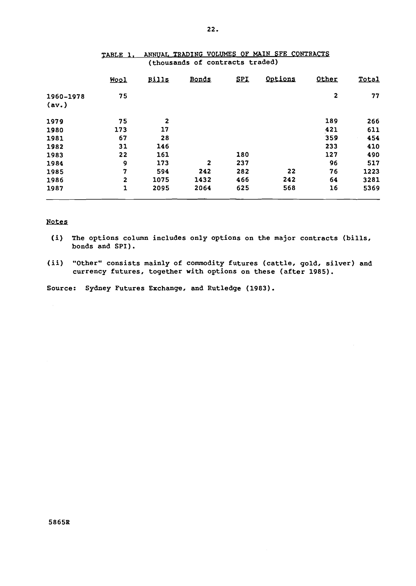|                    | Wool           | <b>Bills</b>   | Bonds        | <b>SPI</b> | Options | Other        | Total |
|--------------------|----------------|----------------|--------------|------------|---------|--------------|-------|
| 1960-1978<br>(av.) | 75             |                |              |            |         | $\mathbf{z}$ | 77    |
| 1979               | 75             | $\overline{2}$ |              |            |         | 189          | 266   |
| 1980               | 173            | 17             |              |            |         | 421          | 611   |
| 1981               | 67             | 28             |              |            |         | 359          | 454   |
| 1982               | 31             | 146            |              |            |         | 233          | 410   |
| 1983               | 22             | 161            |              | 180        |         | 127          | 490   |
| 1984               | $\mathbf{Q}$   | 173            | $\mathbf{z}$ | 237        |         | 96           | 517   |
| 1985               | 7              | 594            | 242          | 282        | 22      | 76           | 1223  |
| 1986               | $\overline{2}$ | 1075           | 1432         | 466        | 242     | 64           | 3281  |
| 1987               | 1              | 2095           | 2064         | 625        | 568     | 16           | 5369  |

## TABLE 1, ANNUAL TRADING VOLUMES OF MAIN SFE CONTRACTS (thousands of contracts traded)

## Notes

- (i) The options column includes only options on the major contracts (bills, bonds and SPI).
- (ii) "Other" consists mainly of commodity futures (cattle, gold, silver) and currency futures, together with options on these (after 1985).

Source: Sydney Futures Exchange, and Rutledge (1983).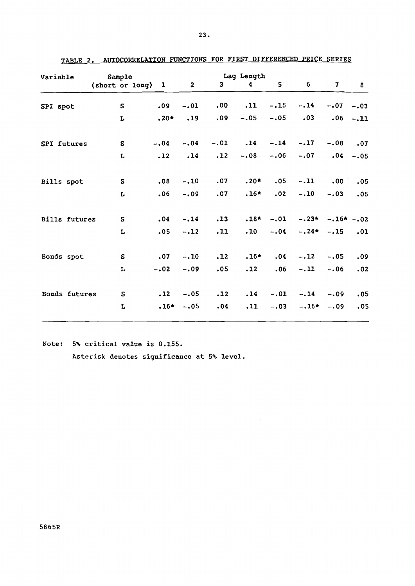| Variable             | Sample            |  |        |              | Lag Length |            |             |                      |                |          |
|----------------------|-------------------|--|--------|--------------|------------|------------|-------------|----------------------|----------------|----------|
|                      | (short or long) 1 |  |        | $\mathbf{2}$ | 3          | 4          | 5           | 6 <sup>1</sup>       | 7 <sup>7</sup> | $\bf{8}$ |
| SPI spot             | S                 |  | .09    | $-.01$       | .00        | .11        | $-.15$      | $-.14$               | $-.07$         | $-.03$   |
|                      | L                 |  | $.20*$ | .19          | .09        | $-.05$     | $-.05$      | .03                  | .06            | $-.11$   |
| SPI futures          | S                 |  | $-.04$ | $-.04$       |            | $-.01-.14$ |             | $-.14-.17$           | $-.08$         | .07      |
|                      | $\mathbf L$       |  | .12    | .14          | .12        | $-.08$     | $-.06$      | $-.07$               | .04            | $-.05$   |
| Bills spot           | S                 |  | .08    | $-.10$       | .07        | $.20*$     | .05         | $-.11$               | .00            | .05      |
|                      | L                 |  | .06    | $-.09$       | .07        | $.16*$     | .02         | $-.10-.03$           |                | .05      |
| <b>Bills futures</b> | $\mathbf S$       |  | .04    | $-.14$       | .13        |            | $.18* -.01$ | $-.23* - .16* - .02$ |                |          |
|                      | L                 |  | .05    | $-.12$       | .11        | .10        | $-.04$      | $-.24*-.15$          |                | .01      |
| Bonds spot           | S                 |  | .07    | $-.10$       | .12        | $.16*$     | .04         | $-.12$               | $-.05$         | .09      |
|                      | L                 |  | $-.02$ | $-.09$       | .05        | .12        | .06         | $-.11$               | $-.06$         | .02      |
| Bonds futures        | S                 |  | .12    | $-.05$       | .12        | .14        | $-.01$      | $-.14$               | $-.09$         | .05      |
|                      | L                 |  | $.16*$ | $-.05$       | .04        | .11        | $-.03$      | $-.16*$              | $-.09$         | .05      |
|                      |                   |  |        |              |            |            |             |                      |                |          |

 $\sim 10^{-1}$ 

| TABLE 2. AUTOCORRELATION FUNCTIONS FOR FIRST DIFFERENCED PRICE SERIES |  |  |  |  |  |  |
|-----------------------------------------------------------------------|--|--|--|--|--|--|
|-----------------------------------------------------------------------|--|--|--|--|--|--|

Note: 5% critical value is 0.155.

Asterisk denotes significance at 5% level.

5865R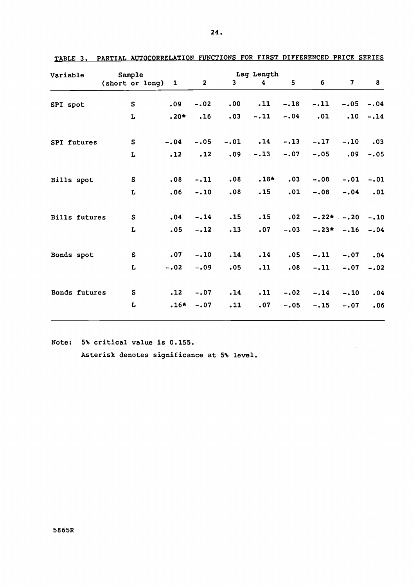| Variable             | Sample            |        |              | Lag Length   |                               |        |                |             |           |
|----------------------|-------------------|--------|--------------|--------------|-------------------------------|--------|----------------|-------------|-----------|
|                      | (short or long) 1 |        | $\mathbf{2}$ | $\mathbf{3}$ | 4                             | 5      | $6\phantom{1}$ | 7           | 8         |
| SPI spot             | ${\bf s}$         | .09    | $-.02$       | .00          | .11                           | $-.18$ | $-.11$         | $-.05$      | $-.04$    |
|                      | L                 | $.20*$ | .16          | .03          | $-.11$                        | $-.04$ | .01            | .10         | $-.14$    |
| SPI futures          | ${\bf S}$         | $-.04$ | $-.05$       | $-.01$       | $\overline{\phantom{0}}$ . 14 | $-.13$ | $-.17$         | $-.10$      | $\ddotsc$ |
|                      | L                 | .12    | .12          | .09          | $-.13$                        | $-.07$ | $-.05$         | .09         | $-.05$    |
| Bills spot           | $\mathbf{s}$      | .08    | $-.11$       | .08          | $.18*$                        | .03    | $-.08$         | $-.01$      | $-.01$    |
|                      | L                 | .06    | $-.10$       | .08          | .15                           | .01    | $-.08$         | $-.04$      | .01       |
| <b>Bills futures</b> | S                 | .04    | $-.14$       | .15          | .15                           | .02    | $-.22*-.20$    |             | $-.10$    |
|                      | L                 | .05    | $-.12$       | .13          | .07                           | $-.03$ |                | $-.23*-.16$ | $-.04$    |
| Bonds spot           | S                 | .07    | $-.10$       | .14          | .14                           | .05    | $-.11$         | $-.07$      | .04       |
|                      | L                 | $-.02$ | $-.09$       | .05          | .11                           | .08    | $-.11$         | $-.07$      | $-.02$    |
| Bonds futures        | S                 | .12    | $-.07$       | .14          | .11                           | $-.02$ | $-.14$         | $-.10$      | .04       |
|                      | L                 | $.16*$ | $-.07$       | .11          | .07                           | $-.05$ | $-.15$         | $-.07$      | .06       |

TABLE 3. PARTIAL AUTOCORRELATION FUNCTIONS FOR FIRST DIFFERENCED PRICE SERIES

Note: 5% critical value is 0.155.

Asterisk denotes significance at 5% level.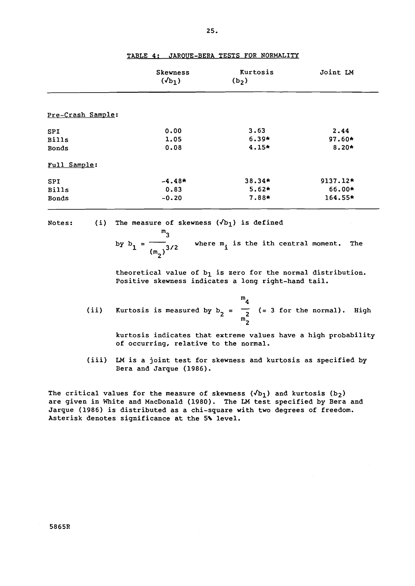|                   | <b>Skewness</b><br>$(\sqrt{b_1})$ | <b>Kurtosis</b><br>$(b_2)$ | Joint LM |
|-------------------|-----------------------------------|----------------------------|----------|
| Pre-Crash Sample: |                                   |                            |          |
| <b>SPI</b>        | 0.00                              | 3.63                       | 2.44     |
| <b>Bills</b>      | 1.05                              | $6.39*$                    | 97.60*   |
| <b>Bonds</b>      | 0.08                              | $4.15*$                    | $8.20*$  |
| Full Sample:      |                                   |                            |          |
| <b>SPI</b>        | $-4.48*$                          | 38.34*                     | 9137.12* |
| <b>Bills</b>      | 0.83                              | $5.62*$                    | 66.00*   |
| <b>Bonds</b>      | $-0.20$                           | 7.88*                      | 164.55*  |

TABLE 4; JAROUE-BERA TESTS FOR NORMALITY

25.

Notes; (i) The measure of skewness  $(\sqrt{b_1})$  is defined

by 
$$
b_1 = \frac{m_3}{(m_2)^{3/2}}
$$
 where  $m_i$  is the ith central moment. The

theoretical value of  $b_1$  is zero for the normal distribution. Positive skewness indicates a long right-hand tail.

|  | (ii) Kurtosis is measured by $b_2 = \frac{1}{2}$ (= 3 for the normal). High |  |  |  |  |
|--|-----------------------------------------------------------------------------|--|--|--|--|

kurtosis indicates that extreme values have a high probability of occurring, relative to the normal.

(iii) LM is a joint test for skewness and kurtosis as specified by Bera and Jarque (1986).

The critical values for the measure of skewness  $(\sqrt{b_1})$  and kurtosis  $(b_2)$ are given in White and MacDonald (1980). The LM test specified by Bera and Jarque (1986) is distributed as a chi-square with two degrees of freedom. Asterisk denotes significance at the 5% level.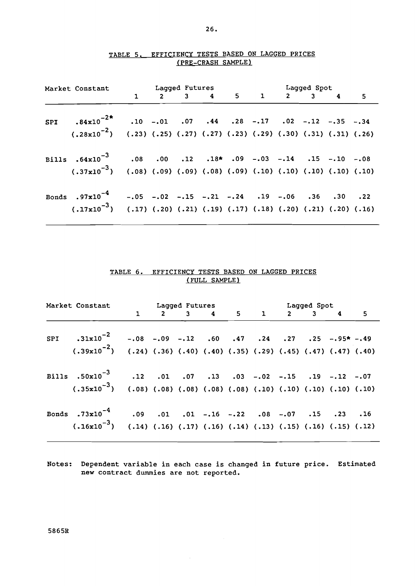|  |                                                                                                 | Market Constant<br>1 2 3 4 5 1 2 3 4 5<br>1 2 5 |  |  |  |  |  |  |  |  |  |
|--|-------------------------------------------------------------------------------------------------|-------------------------------------------------|--|--|--|--|--|--|--|--|--|
|  |                                                                                                 |                                                 |  |  |  |  |  |  |  |  |  |
|  | SPI $.84 \times 10^{-2}$ * $.10$ $-.01$ $.07$ $.44$ $.28$ $-.17$ $.02$ $-.12$ $-.35$ $-.34$     |                                                 |  |  |  |  |  |  |  |  |  |
|  | $(.28x10^{-2})$ $(.23)$ $(.25)$ $(.27)$ $(.27)$ $(.23)$ $(.29)$ $(.30)$ $(.31)$ $(.31)$ $(.26)$ |                                                 |  |  |  |  |  |  |  |  |  |
|  | Bills $.64 \times 10^{-3}$ $.08$ $.00$ $.12$ $.18$ * $.09$ $-.03$ $-.14$ $.15$ $-.10$ $-.08$    |                                                 |  |  |  |  |  |  |  |  |  |
|  | $(0.37 \times 10^{-3})$ (0.08) (0.09) (0.09) (0.08) (0.09) (0.10) (0.10) (0.10) (0.10)          |                                                 |  |  |  |  |  |  |  |  |  |
|  |                                                                                                 |                                                 |  |  |  |  |  |  |  |  |  |
|  | Bonds $.97 \times 10^{-4}$ -.05 -.02 -.15 -.21 -.24 .19 -.06 .36 .30 .22                        |                                                 |  |  |  |  |  |  |  |  |  |
|  | $(.17x10^{-3})$ $(.17)$ $(.20)$ $(.21)$ $(.19)$ $(.17)$ $(.18)$ $(.20)$ $(.21)$ $(.20)$ $(.16)$ |                                                 |  |  |  |  |  |  |  |  |  |

## TABLE 5. EFFICIENCY TESTS BASED ON LAGGED PRICES (PRE-CRASH SAMPLE)

## TABLE 6. EFFICIENCY TESTS BASED ON LAGGED PRICES (FULL SAMPLE)

|  |                                                                                                 | Market Constant Lagged Futures Lagged Spot<br>1 2 3 4 5 1 2 3 4 5 |  |  |  |  |  |  |  |  |
|--|-------------------------------------------------------------------------------------------------|-------------------------------------------------------------------|--|--|--|--|--|--|--|--|
|  |                                                                                                 |                                                                   |  |  |  |  |  |  |  |  |
|  | SPI $.31x10^{-2}$ $-.08$ $-.09$ $-.12$ $.60$ $.47$ $.24$ $.27$ $.25$ $-.95*$ $-.49$             |                                                                   |  |  |  |  |  |  |  |  |
|  | $(.39x10^{-2})$ $(.24)$ $(.36)$ $(.40)$ $(.40)$ $(.35)$ $(.29)$ $(.45)$ $(.47)$ $(.47)$ $(.40)$ |                                                                   |  |  |  |  |  |  |  |  |
|  | Bills $.50x10^{-3}$ .12 .01 .07 .13 .03 -.02 -.15 .19 -.12 -.07                                 |                                                                   |  |  |  |  |  |  |  |  |
|  | $(10)$ $(10)$ $(10)$ $(10)$ $(08)$ $(08)$ $(08)$ $(08)$ $(08)$ $(10)$ $(01)$ $(01)$ $(01)$      |                                                                   |  |  |  |  |  |  |  |  |
|  | Bonds .73x10 <sup>-4</sup> .09 .01 .01 -.16 -.22 .08 -.07 .15 .23 .16                           |                                                                   |  |  |  |  |  |  |  |  |
|  | $(.16x10^{-3})$ $(.14)$ $(.16)$ $(.17)$ $(.16)$ $(.14)$ $(.13)$ $(.15)$ $(.16)$ $(.15)$ $(.12)$ |                                                                   |  |  |  |  |  |  |  |  |

Notes: Dependent variable in each case is changed in future price. Estimated new contract dummies are not reported.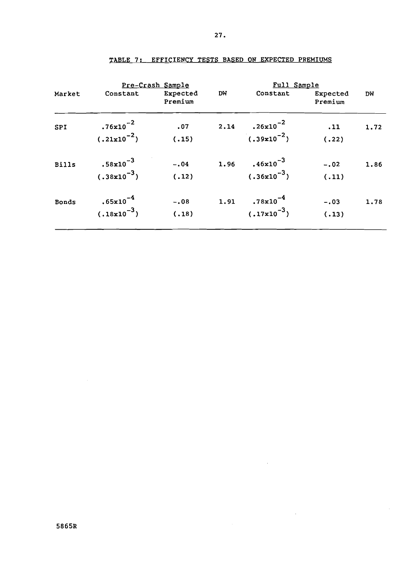| Market       | Constant                         | Pre-Crash Sample<br>Expected<br>Premium | DW   | Full Sample<br>Constant           | Expected<br>Premium | DW   |
|--------------|----------------------------------|-----------------------------------------|------|-----------------------------------|---------------------|------|
| SPI          | $.76x10^{-2}$<br>$(.21x10^{-2})$ | .07<br>(.15)                            | 2.14 | $.26x10^{-2}$<br>$(0.39x10^{-2})$ | .11<br>(.22)        | 1.72 |
| Bills        | $.58x10^{-3}$<br>$(.38x10^{-3})$ | $-.04$<br>(.12)                         | 1.96 | $.46x10^{-3}$<br>$(.36x10^{-3})$  | $-.02$<br>(.11)     | 1.86 |
| <b>Bonds</b> | $.65x10^{-4}$<br>$(.18x10^{-3})$ | $-.08$<br>(.18)                         | 1.91 | $.78x10^{-4}$<br>$(.17x10^{-3})$  | $-.03$<br>(.13)     | 1.78 |

 $\sim 10^{-11}$ 

 $\sim 10^{11}$ 

 $\sim 10$ 

## TABLE 7• . EFFICIENCY TESTS BASED ON EXPECTED PREMIUMS

5865R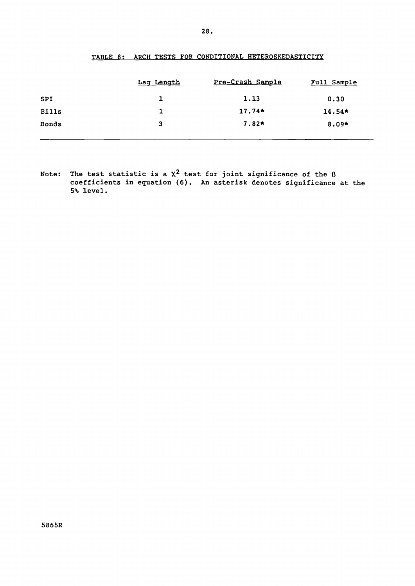| Lag Length |          | Full Sample      |
|------------|----------|------------------|
|            | 1.13     | 0.30             |
| ı          | $17.74*$ | $14.54*$         |
| 3          | $7.82*$  | 8.09*            |
|            |          | Pre-Crash Sample |

## TABLE 8: ARCH TESTS FOR CONDITIONAL HETEROSKEDASTICITY

Note: The test statistic is a  $\chi^2$  test for joint significance of the  $\beta$ coefficients in equation (6). An asterisk denotes significance at the 5'\. level.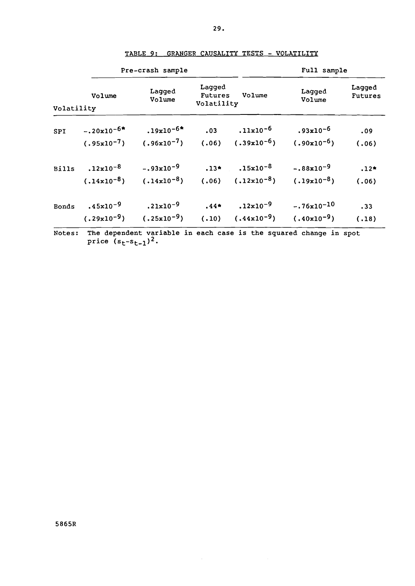|              |                 | Pre-crash sample |                                        | Full sample     |                  |                          |
|--------------|-----------------|------------------|----------------------------------------|-----------------|------------------|--------------------------|
| Volatility   | Volume          | Lagged<br>Volume | Lagged<br><b>Futures</b><br>Volatility | Volume          | Lagged<br>Volume | Lagged<br><b>Futures</b> |
| SPI          | $-.20x10^{-6*}$ | $.19x10^{-6*}$   | .03                                    | $.11x10^{-6}$   | $.93x10^{-6}$    | .09                      |
|              | $(.95x10^{-7})$ | $(.96x10^{-7})$  | (.06)                                  | $(.39x10^{-6})$ | $(.90x10^{-6})$  | (.06)                    |
| <b>Bills</b> | $.12x10^{-8}$   | $-.93x10-9$      | $.13*$                                 | $.15x10^{-8}$   | $-.88x10^{-9}$   | $.12*$                   |
|              | $(.14x10^{-8})$ | $(.14x10^{-8})$  | (.06)                                  | $(.12x10^{-8})$ | $(.19x10^{-8})$  | (.06)                    |
| <b>Bonds</b> | $.45x10^{-9}$   | $.21x10^{-9}$    | $.44*$                                 | $.12x10^{-9}$   | $-.76x10^{-10}$  | .33                      |
|              | $(.29x10^{-9})$ | $(.25x10^{-9})$  | (.10)                                  | $(.44x10^{-9})$ | $(.40x10^{-9})$  | (.18)                    |

| <u> TABLE 9: GRANGER CAUSALITY TESTS - VOLATILITY</u> |  |  |
|-------------------------------------------------------|--|--|
|-------------------------------------------------------|--|--|

Notes: The dependent variable in each case is the squared change in spot price (s<sub>t</sub>-s<sub>t-1</sub>)<sup>2</sup>.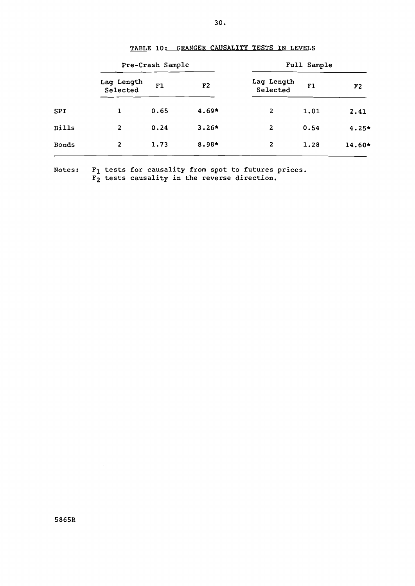|              | Pre-Crash Sample       |      |                | Full Sample            |      |                |
|--------------|------------------------|------|----------------|------------------------|------|----------------|
|              | Lag Length<br>Selected | F1   | F <sub>2</sub> | Lag Length<br>Selected | F1   | F <sub>2</sub> |
| <b>SPI</b>   | 1                      | 0.65 | $4.69*$        | 2                      | 1.01 | 2.41           |
| <b>Bills</b> | 2                      | 0.24 | $3.26*$        | 2                      | 0.54 | $4.25*$        |
| <b>Bonds</b> | 2                      | 1.73 | 8.98*          | $\mathbf{z}$           | 1.28 | 14.60*         |
|              |                        |      |                |                        |      |                |

## TABLE 10: GRANGER CAUSALITY TESTS IN LEVELS

Notes:  $F_1$  tests for causality from spot to futures prices.  $\bar{F_2}$  tests causality in the reverse direction.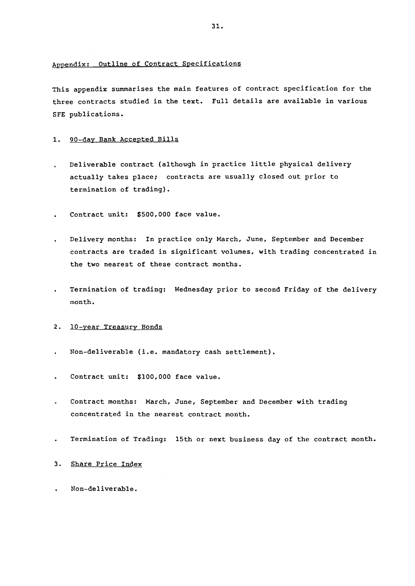#### Appendix: Outline of Contract Specifications

This appendix summarises the main features of contract specification for the three contracts studied in the text. Full details are available in various SFE publications.

#### 1. 90-day Bank Accepted Bills

- Deliverable contract (although in practice little physical delivery  $\omega$ actually takes place; contracts are usually closed out prior to termination of trading).
- Contract unit: \$500,000 face value.
- Delivery months: In practice only March, June, September and December  $\ddot{\phantom{0}}$ contracts are traded in significant volumes, with trading concentrated in the two nearest of these contract months.
- Termination of trading: Wednesday prior to second Friday of the delivery month.

#### 2. 10-year Treasury Bonds

- Non-deliverable (i.e. mandatory cash settlement).  $\mathbf{r}$
- Contract unit: \$100,000 face value.
- Contract months: March, June, September and December with trading concentrated in the nearest contract month.
- Termination of Trading: 15th or next business day of the contract month.

### 3. Share Price Index

Non-deliverable.  $\mathbf{r}$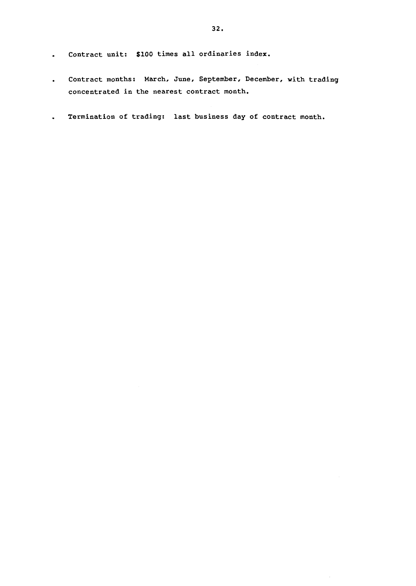- Contract unit: \$100 times all ordinaries index.  $\bullet$  .
- Contract months: March, June, September, December, with trading  $\bullet$  . concentrated in the nearest contract month.
- Termination of trading: last business day of contract month.  $\ddot{\phantom{0}}$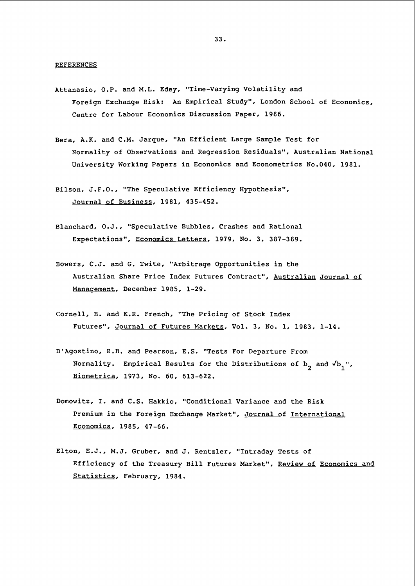- Attanasio, O.P. and M.L. Edey, "Time-Varying Volatility and Foreign Exchange Risk: An Empirical Study", London School of Economics, Centre for Labour Economics Discussion Paper, 1986.
- Bera, A.K. and C.M. Jarque, "An Efficient Large Sample Test for Normality of Observations and Regression Residuals", Australian National University Working Papers in Economics and Econometrics No.040, 1981.
- Bilson, J.F.O., "The Speculative Efficiency Hypothesis", Journal of Business, 1981, 435-452.
- Blanchard, O.J., "Speculative Bubbles, Crashes and Rational Expectations", Economics Letters, 1979, No. 3, 387-389.
- Bowers, C.J. and G. Twite, "Arbitrage Opportunities in the Australian Share Price Index Futures Contract", Australian Journal of Management, December 1985, 1-29.
- Cornell, B. and K.R. French, "The Pricing of Stock Index Futures", Journal of Futures Markets, Vol. 3, No. 1, 1983, 1-14.
- D'Agostino, R.B. and Pearson, E.S. "Tests For Departure From Normality. Empirical Results for the Distributions of  $b^2$  and  $\sqrt{b^2}$ . Biometrica, 1973, No. 60, 613-622.
- Domowitz, I. and C.S. Hakkio, "Conditional Variance and the Risk Premium in the Foreign Exchange Market", Journal of International Economics, 1985, 47-66.
- Elton, E.J., M.J. Gruber, and J. Rentzler, "Intraday Tests of Efficiency of the Treasury Bill Futures Market", Review of Economics and Statistics, February, 1984.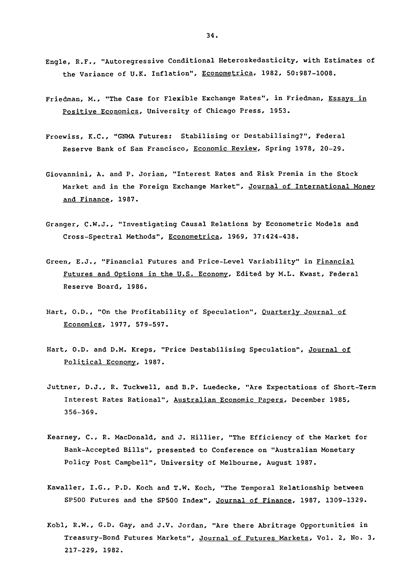- Engle, R.F., "Autoregressive Conditional Heteroskedasticity, with Estimates of the Variance of U.K. Inflation", Econometrica, 1982, 50:987-1008.
- Friedman, M., "The Case for Flexible Exchange Rates", in Friedman, Essays in Positive Economics, University of Chicago Press, 1953.
- Froewiss, K.C., "GNMA Futures: Stabilising or Destabilising?", Federal Reserve Bank of San Francisco, Economic Review, Spring 1978, 20-29.
- Giovannini, A. and P. Jorian, "Interest Rates and Risk Premia in the Stock Market and in the Foreign Exchange Market", Journal of International Money and Finance, 1987.
- Granger, C.W.J., "Investigating Causal Relations by Econometric Models and Cross-Spectral Methods", Econometrica, 1969, 37:424-438.
- Green, E.J., "Financial Futures and Price-Level Variability" in Financial Futures and Options in the U.S. Economy, Edited by M.L. Kwast, Federal Reserve Board, 1986.
- Hart, O.D., "On the Profitability of Speculation", Quarterly Journal of Economics, 1977, 579-597.
- Hart, O.D. and D.M. Kreps, "Price Destabilising Speculation", Journal of Political Economy, 1987.
- Juttner, D.J., R. Tuckwell, and B.P. Luedecke, "Are Expectations of Short-Term Interest Rates Rational", Australian Economic Papers, December 1985, 356-369.
- Kearney, C., R. MacDonald, and J. Hillier, "The Efficiency of the Market for Bank-Accepted Bills", presented to Conference on "Australian Monetary Policy Post Campbell", University of Melbourne, August 1987.
- Kawaller, I.G., P.O. Koch and T.W. Koch, "The Temporal Relationship between SP500 Futures and the SP500 Index", Journal of Finance, 1987, 1309-1329.
- Kobl, R.W., G.D. Gay, and J.V. Jordan, "Are there Abritrage Opportunities in Treasury-Bond Futures Markets'', Journal of Futures Markets, Vol. 2, No. 3, 217-229, 1982.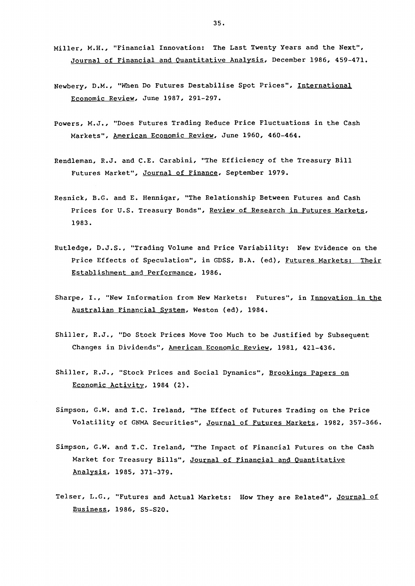- Miller, M.H., "Financial Innovation: The Last Twenty Years and the Next", Journal of Financial and Quantitative Analysis, December 1986, 459-471.
- Newbery, D.M., "When Do Futures Destabilise Spot Prices", International Economic Review, June 1987, 291-297.
- Powers, M.J., "Does Futures Trading Reduce Price Fluctuations in the Cash Markets", American Economic Review, June 1960, 460-464.
- Rendleman, R.J. and C.E. Carabini, "The Efficiency of the Treasury Bill Futures Market", Journal of Finance, September 1979.
- Resnick, B.G. and E. Hennigar, "The Relationship Between Futures and Cash Prices for U.S. Treasury Bonds", Review of Research in Futures Markets, 1983.
- Rutledge, D.J.S., "Trading Volume and Price Variability: New Evidence on the Price Effects of Speculation", in GDSS, B.A. (ed), Futures Markets: Their Establishment and Performance, 1986.
- Sharpe, I., "New Information from New Markets: Futures", in Innovation in the Australian Financial System, Weston (ed), 1984.
- Shiller, R.J., "Do Stock Prices Move Too Much to be Justified by Subsequent Changes in Dividends", American Economic Review, 1981, 421-436.
- Shiller, R.J., "Stock Prices and Social Dynamics", Brookings Papers on Economic Activity, 1984 (2).
- Simpson, G.W. and T.C. Ireland, "The Effect of Futures Trading on the Price Volatility of GNMA. Securities", Journal of Futures Markets, 1982, 357-366.
- Simpson, G.W. and T.C. Ireland, "The Impact of Financial Futures on the Cash Market for Treasury Bills", Journal of Financial and Quantitative Analysis, 1985, 371-379.
- Telser, L.G., "Futures and Actual Markets: How They are Related", Journal of Business, 1986, S5-S20.